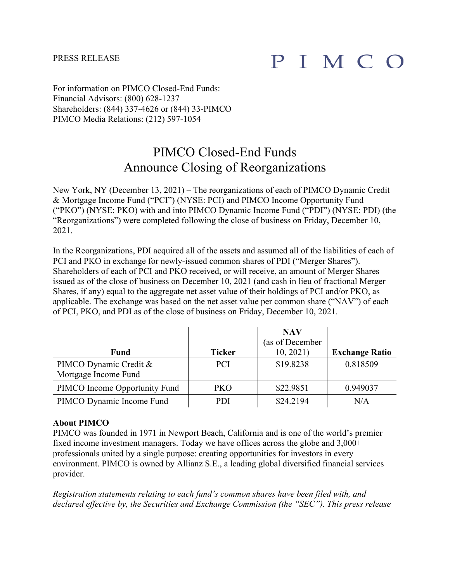## PRESS RELEASE

## PIMCO

For information on PIMCO Closed-End Funds: Financial Advisors: (800) 628-1237 Shareholders: (844) 337-4626 or (844) 33-PIMCO PIMCO Media Relations: (212) 597-1054

## PIMCO Closed-End Funds Announce Closing of Reorganizations

New York, NY (December 13, 2021) – The reorganizations of each of PIMCO Dynamic Credit & Mortgage Income Fund ("PCI") (NYSE: PCI) and PIMCO Income Opportunity Fund ("PKO") (NYSE: PKO) with and into PIMCO Dynamic Income Fund ("PDI") (NYSE: PDI) (the "Reorganizations") were completed following the close of business on Friday, December 10, 2021.

In the Reorganizations, PDI acquired all of the assets and assumed all of the liabilities of each of PCI and PKO in exchange for newly-issued common shares of PDI ("Merger Shares"). Shareholders of each of PCI and PKO received, or will receive, an amount of Merger Shares issued as of the close of business on December 10, 2021 (and cash in lieu of fractional Merger Shares, if any) equal to the aggregate net asset value of their holdings of PCI and/or PKO, as applicable. The exchange was based on the net asset value per common share ("NAV") of each of PCI, PKO, and PDI as of the close of business on Friday, December 10, 2021.

|                                                |               | <b>NAV</b><br>(as of December |                       |
|------------------------------------------------|---------------|-------------------------------|-----------------------|
| <b>Fund</b>                                    | <b>Ticker</b> | 10, 2021                      | <b>Exchange Ratio</b> |
| PIMCO Dynamic Credit &<br>Mortgage Income Fund | <b>PCI</b>    | \$19.8238                     | 0.818509              |
| PIMCO Income Opportunity Fund                  | PKO           | \$22.9851                     | 0.949037              |
| PIMCO Dynamic Income Fund                      | <b>PDI</b>    | \$24.2194                     | N/A                   |

## **About PIMCO**

PIMCO was founded in 1971 in Newport Beach, California and is one of the world's premier fixed income investment managers. Today we have offices across the globe and 3,000+ professionals united by a single purpose: creating opportunities for investors in every environment. PIMCO is owned by Allianz S.E., a leading global diversified financial services provider.

*Registration statements relating to each fund's common shares have been filed with, and declared effective by, the Securities and Exchange Commission (the "SEC"). This press release*